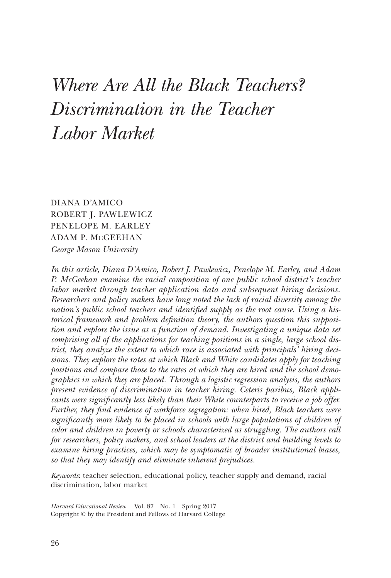# *Where Are All the Black Teachers? Discrimination in the Teacher Labor Market*

DIANA D'AMICO ROBERT J. PAWLEWICZ PENELOPE M. EARLEY ADAM P. MCGEEHAN *George Mason University*

*In this article, Diana D'Amico, Robert J. Pawlewicz, Penelope M. Earley, and Adam P. McGeehan examine the racial composition of one public school district's teacher labor market through teacher application data and subsequent hiring decisions. Researchers and policy makers have long noted the lack of racial diversity among the nation's public school teachers and identified supply as the root cause. Using a historical framework and problem definition theory, the authors question this supposition and explore the issue as a function of demand. Investigating a unique data set comprising all of the applications for teaching positions in a single, large school district, they analyze the extent to which race is associated with principals' hiring decisions. They explore the rates at which Black and White candidates apply for teaching positions and compare those to the rates at which they are hired and the school demographics in which they are placed. Through a logistic regression analysis, the authors present evidence of discrimination in teacher hiring. Ceteris paribus, Black applicants were significantly less likely than their White counterparts to receive a job offer. Further, they find evidence of workforce segregation: when hired, Black teachers were significantly more likely to be placed in schools with large populations of children of color and children in poverty or schools characterized as struggling. The authors call for researchers, policy makers, and school leaders at the district and building levels to examine hiring practices, which may be symptomatic of broader institutional biases, so that they may identify and eliminate inherent prejudices.* 

*Keywords*: teacher selection, educational policy, teacher supply and demand, racial discrimination, labor market

*Harvard Educational Review* Vol. 87 No. 1 Spring 2017 Copyright © by the President and Fellows of Harvard College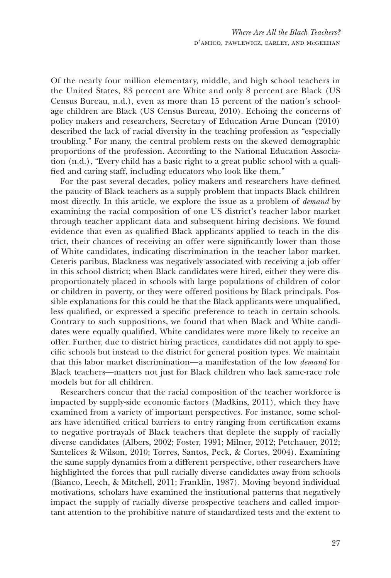Of the nearly four million elementary, middle, and high school teachers in the United States, 83 percent are White and only 8 percent are Black (US Census Bureau, n.d.), even as more than 15 percent of the nation's schoolage children are Black (US Census Bureau, 2010). Echoing the concerns of policy makers and researchers, Secretary of Education Arne Duncan (2010) described the lack of racial diversity in the teaching profession as "especially troubling." For many, the central problem rests on the skewed demographic proportions of the profession. According to the National Education Association (n.d.), "Every child has a basic right to a great public school with a qualified and caring staff, including educators who look like them."

For the past several decades, policy makers and researchers have defined the paucity of Black teachers as a supply problem that impacts Black children most directly. In this article, we explore the issue as a problem of *demand* by examining the racial composition of one US district's teacher labor market through teacher applicant data and subsequent hiring decisions. We found evidence that even as qualified Black applicants applied to teach in the district, their chances of receiving an offer were significantly lower than those of White candidates, indicating discrimination in the teacher labor market. Ceteris paribus, Blackness was negatively associated with receiving a job offer in this school district; when Black candidates were hired, either they were disproportionately placed in schools with large populations of children of color or children in poverty, or they were offered positions by Black principals. Possible explanations for this could be that the Black applicants were unqualified, less qualified, or expressed a specific preference to teach in certain schools. Contrary to such suppositions, we found that when Black and White candidates were equally qualified, White candidates were more likely to receive an offer. Further, due to district hiring practices, candidates did not apply to specific schools but instead to the district for general position types. We maintain that this labor market discrimination—a manifestation of the low *demand* for Black teachers—matters not just for Black children who lack same-race role models but for all children.

Researchers concur that the racial composition of the teacher workforce is impacted by supply-side economic factors (Madkins, 2011), which they have examined from a variety of important perspectives. For instance, some scholars have identified critical barriers to entry ranging from certification exams to negative portrayals of Black teachers that deplete the supply of racially diverse candidates (Albers, 2002; Foster, 1991; Milner, 2012; Petchauer, 2012; Santelices & Wilson, 2010; Torres, Santos, Peck, & Cortes, 2004). Examining the same supply dynamics from a different perspective, other researchers have highlighted the forces that pull racially diverse candidates away from schools (Bianco, Leech, & Mitchell, 2011; Franklin, 1987). Moving beyond individual motivations, scholars have examined the institutional patterns that negatively impact the supply of racially diverse prospective teachers and called important attention to the prohibitive nature of standardized tests and the extent to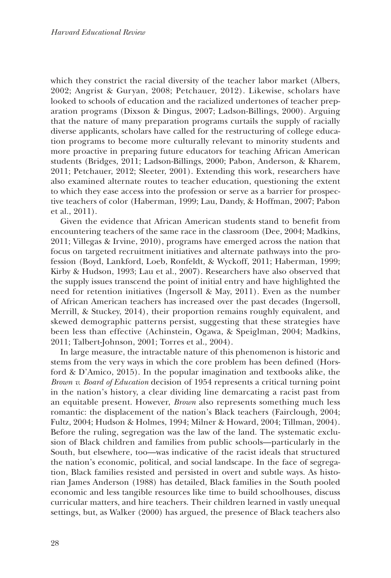which they constrict the racial diversity of the teacher labor market (Albers, 2002; Angrist & Guryan, 2008; Petchauer, 2012). Likewise, scholars have looked to schools of education and the racialized undertones of teacher preparation programs (Dixson & Dingus, 2007; Ladson-Billings, 2000). Arguing that the nature of many preparation programs curtails the supply of racially diverse applicants, scholars have called for the restructuring of college education programs to become more culturally relevant to minority students and more proactive in preparing future educators for teaching African American students (Bridges, 2011; Ladson-Billings, 2000; Pabon, Anderson, & Kharem, 2011; Petchauer, 2012; Sleeter, 2001). Extending this work, researchers have also examined alternate routes to teacher education, questioning the extent to which they ease access into the profession or serve as a barrier for prospective teachers of color (Haberman, 1999; Lau, Dandy, & Hoffman, 2007; Pabon et al., 2011).

Given the evidence that African American students stand to benefit from encountering teachers of the same race in the classroom (Dee, 2004; Madkins, 2011; Villegas & Irvine, 2010), programs have emerged across the nation that focus on targeted recruitment initiatives and alternate pathways into the profession (Boyd, Lankford, Loeb, Ronfeldt, & Wyckoff, 2011; Haberman, 1999; Kirby & Hudson, 1993; Lau et al., 2007). Researchers have also observed that the supply issues transcend the point of initial entry and have highlighted the need for retention initiatives (Ingersoll & May, 2011). Even as the number of African American teachers has increased over the past decades (Ingersoll, Merrill, & Stuckey, 2014), their proportion remains roughly equivalent, and skewed demographic patterns persist, suggesting that these strategies have been less than effective (Achinstein, Ogawa, & Speiglman, 2004; Madkins, 2011; Talbert-Johnson, 2001; Torres et al., 2004).

In large measure, the intractable nature of this phenomenon is historic and stems from the very ways in which the core problem has been defined (Horsford & D'Amico, 2015). In the popular imagination and textbooks alike, the *Brown v. Board of Education* decision of 1954 represents a critical turning point in the nation's history, a clear dividing line demarcating a racist past from an equitable present. However, *Brown* also represents something much less romantic: the displacement of the nation's Black teachers (Fairclough, 2004; Fultz, 2004; Hudson & Holmes, 1994; Milner & Howard, 2004; Tillman, 2004). Before the ruling, segregation was the law of the land. The systematic exclusion of Black children and families from public schools—particularly in the South, but elsewhere, too—was indicative of the racist ideals that structured the nation's economic, political, and social landscape. In the face of segregation, Black families resisted and persisted in overt and subtle ways. As historian James Anderson (1988) has detailed, Black families in the South pooled economic and less tangible resources like time to build schoolhouses, discuss curricular matters, and hire teachers. Their children learned in vastly unequal settings, but, as Walker (2000) has argued, the presence of Black teachers also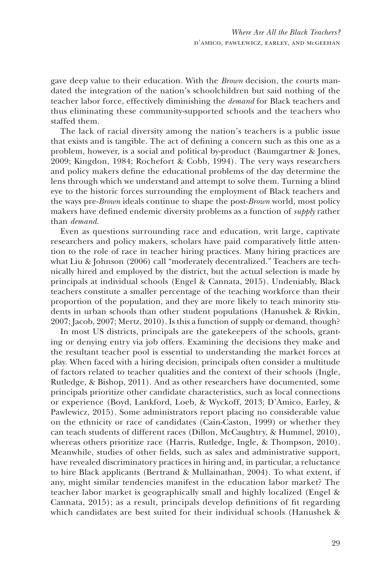gave deep value to their education. With the *Brown* decision, the courts mandated the integration of the nation's schoolchildren but said nothing of the teacher labor force, effectively diminishing the *demand* for Black teachers and thus eliminating these community-supported schools and the teachers who staffed them.

The lack of racial diversity among the nation's teachers is a public issue that exists and is tangible. The act of defining a concern such as this one as a problem, however, is a social and political by-product (Baumgartner & Jones, 2009; Kingdon, 1984; Rochefort & Cobb, 1994). The very ways researchers and policy makers define the educational problems of the day determine the lens through which we understand and attempt to solve them. Turning a blind eye to the historic forces surrounding the employment of Black teachers and the ways pre-*Brown* ideals continue to shape the post-*Brown* world, most policy makers have defined endemic diversity problems as a function of *supply* rather than *demand*.

Even as questions surrounding race and education, writ large, captivate researchers and policy makers, scholars have paid comparatively little attention to the role of race in teacher hiring practices. Many hiring practices are what Liu & Johnson (2006) call "moderately decentralized." Teachers are technically hired and employed by the district, but the actual selection is made by principals at individual schools (Engel & Cannata, 2015). Undeniably, Black teachers constitute a smaller percentage of the teaching workforce than their proportion of the population, and they are more likely to teach minority students in urban schools than other student populations (Hanushek & Rivkin, 2007; Jacob, 2007; Mertz, 2010). Is this a function of supply or demand, though?

In most US districts, principals are the gatekeepers of the schools, granting or denying entry via job offers. Examining the decisions they make and the resultant teacher pool is essential to understanding the market forces at play. When faced with a hiring decision, principals often consider a multitude of factors related to teacher qualities and the context of their schools (Ingle, Rutledge, & Bishop, 2011). And as other researchers have documented, some principals prioritize other candidate characteristics, such as local connections or experience (Boyd, Lankford, Loeb, & Wyckoff, 2013; D'Amico, Earley, & Pawlewicz, 2015). Some administrators report placing no considerable value on the ethnicity or race of candidates (Cain-Caston, 1999) or whether they can teach students of different races (Dillon, McCaughtry, & Hummel, 2010), whereas others prioritize race (Harris, Rutledge, Ingle, & Thompson, 2010). Meanwhile, studies of other fields, such as sales and administrative support, have revealed discriminatory practices in hiring and, in particular, a reluctance to hire Black applicants (Bertrand & Mullainathan, 2004). To what extent, if any, might similar tendencies manifest in the education labor market? The teacher labor market is geographically small and highly localized (Engel & Cannata, 2015); as a result, principals develop definitions of fit regarding which candidates are best suited for their individual schools (Hanushek &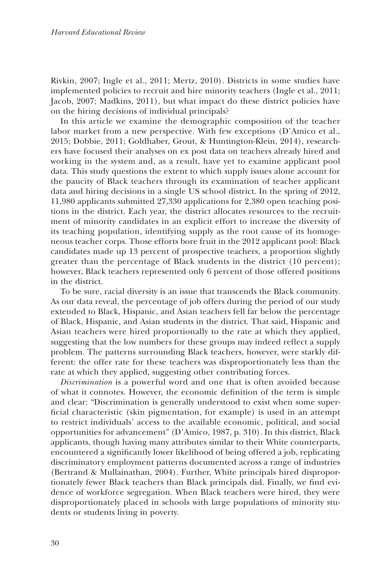Rivkin, 2007; Ingle et al., 2011; Mertz, 2010). Districts in some studies have implemented policies to recruit and hire minority teachers (Ingle et al., 2011; Jacob, 2007; Madkins, 2011), but what impact do these district policies have on the hiring decisions of individual principals?

In this article we examine the demographic composition of the teacher labor market from a new perspective. With few exceptions (D'Amico et al., 2015; Dobbie, 2011; Goldhaber, Grout, & Huntington-Klein, 2014), researchers have focused their analyses on ex post data on teachers already hired and working in the system and, as a result, have yet to examine applicant pool data. This study questions the extent to which supply issues alone account for the paucity of Black teachers through its examination of teacher applicant data and hiring decisions in a single US school district. In the spring of 2012, 11,980 applicants submitted 27,330 applications for 2,380 open teaching positions in the district. Each year, the district allocates resources to the recruitment of minority candidates in an explicit effort to increase the diversity of its teaching population, identifying supply as the root cause of its homogeneous teacher corps. Those efforts bore fruit in the 2012 applicant pool: Black candidates made up 13 percent of prospective teachers, a proportion slightly greater than the percentage of Black students in the district (10 percent); however, Black teachers represented only 6 percent of those offered positions in the district.

To be sure, racial diversity is an issue that transcends the Black community. As our data reveal, the percentage of job offers during the period of our study extended to Black, Hispanic, and Asian teachers fell far below the percentage of Black, Hispanic, and Asian students in the district. That said, Hispanic and Asian teachers were hired proportionally to the rate at which they applied, suggesting that the low numbers for these groups may indeed reflect a supply problem. The patterns surrounding Black teachers, however, were starkly different: the offer rate for these teachers was disproportionately less than the rate at which they applied, suggesting other contributing forces.

*Discrimination* is a powerful word and one that is often avoided because of what it connotes. However, the economic definition of the term is simple and clear: "Discrimination is generally understood to exist when some superficial characteristic (skin pigmentation, for example) is used in an attempt to restrict individuals' access to the available economic, political, and social opportunities for advancement" (D'Amico, 1987, p. 310). In this district, Black applicants, though having many attributes similar to their White counterparts, encountered a significantly lower likelihood of being offered a job, replicating discriminatory employment patterns documented across a range of industries (Bertrand & Mullainathan, 2004). Further, White principals hired disproportionately fewer Black teachers than Black principals did. Finally, we find evidence of workforce segregation. When Black teachers were hired, they were disproportionately placed in schools with large populations of minority students or students living in poverty.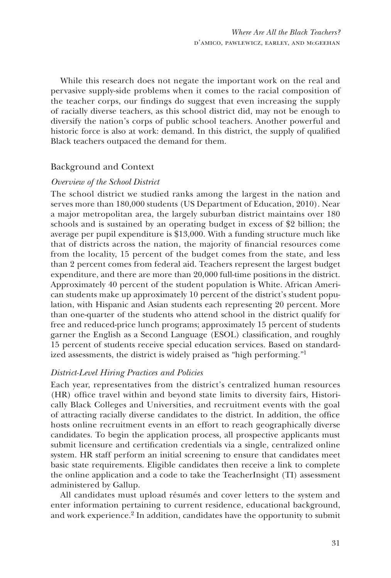While this research does not negate the important work on the real and pervasive supply-side problems when it comes to the racial composition of the teacher corps, our findings do suggest that even increasing the supply of racially diverse teachers, as this school district did, may not be enough to diversify the nation's corps of public school teachers. Another powerful and historic force is also at work: demand. In this district, the supply of qualified Black teachers outpaced the demand for them.

# Background and Context

# *Overview of the School District*

The school district we studied ranks among the largest in the nation and serves more than 180,000 students (US Department of Education, 2010). Near a major metropolitan area, the largely suburban district maintains over 180 schools and is sustained by an operating budget in excess of \$2 billion; the average per pupil expenditure is \$13,000. With a funding structure much like that of districts across the nation, the majority of financial resources come from the locality, 15 percent of the budget comes from the state, and less than 2 percent comes from federal aid. Teachers represent the largest budget expenditure, and there are more than 20,000 full-time positions in the district. Approximately 40 percent of the student population is White. African American students make up approximately 10 percent of the district's student population, with Hispanic and Asian students each representing 20 percent. More than one-quarter of the students who attend school in the district qualify for free and reduced-price lunch programs; approximately 15 percent of students garner the English as a Second Language (ESOL) classification, and roughly 15 percent of students receive special education services. Based on standardized assessments, the district is widely praised as "high performing."1

### *District-Level Hiring Practices and Policies*

Each year, representatives from the district's centralized human resources (HR) office travel within and beyond state limits to diversity fairs, Historically Black Colleges and Universities, and recruitment events with the goal of attracting racially diverse candidates to the district. In addition, the office hosts online recruitment events in an effort to reach geographically diverse candidates. To begin the application process, all prospective applicants must submit licensure and certification credentials via a single, centralized online system. HR staff perform an initial screening to ensure that candidates meet basic state requirements. Eligible candidates then receive a link to complete the online application and a code to take the TeacherInsight (TI) assessment administered by Gallup.

All candidates must upload résumés and cover letters to the system and enter information pertaining to current residence, educational background, and work experience.<sup>2</sup> In addition, candidates have the opportunity to submit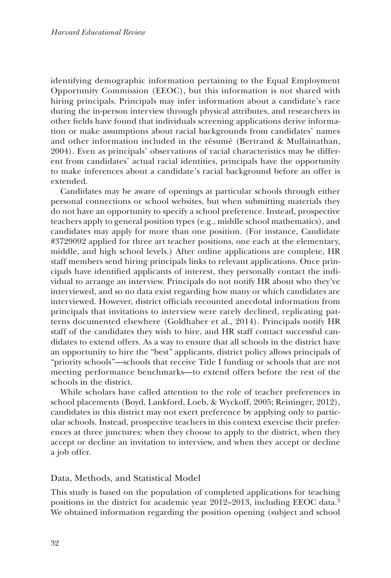identifying demographic information pertaining to the Equal Employment Opportunity Commission (EEOC), but this information is not shared with hiring principals. Principals may infer information about a candidate's race during the in-person interview through physical attributes, and researchers in other fields have found that individuals screening applications derive information or make assumptions about racial backgrounds from candidates' names and other information included in the résumé (Bertrand & Mullainathan, 2004). Even as principals' observations of racial characteristics may be different from candidates' actual racial identities, principals have the opportunity to make inferences about a candidate's racial background before an offer is extended.

Candidates may be aware of openings at particular schools through either personal connections or school websites, but when submitting materials they do not have an opportunity to specify a school preference. Instead, prospective teachers apply to general position types (e.g., middle school mathematics), and candidates may apply for more than one position. (For instance, Candidate #3729092 applied for three art teacher positions, one each at the elementary, middle, and high school levels.) After online applications are complete, HR staff members send hiring principals links to relevant applications. Once principals have identified applicants of interest, they personally contact the individual to arrange an interview. Principals do not notify HR about who they've interviewed, and so no data exist regarding how many or which candidates are interviewed. However, district officials recounted anecdotal information from principals that invitations to interview were rarely declined, replicating patterns documented elsewhere (Goldhaber et al., 2014). Principals notify HR staff of the candidates they wish to hire, and HR staff contact successful candidates to extend offers. As a way to ensure that all schools in the district have an opportunity to hire the "best" applicants, district policy allows principals of "priority schools"—schools that receive Title I funding or schools that are not meeting performance benchmarks—to extend offers before the rest of the schools in the district.

While scholars have called attention to the role of teacher preferences in school placements (Boyd, Lankford, Loeb, & Wyckoff, 2005; Reininger, 2012), candidates in this district may not exert preference by applying only to particular schools. Instead, prospective teachers in this context exercise their preferences at three junctures: when they choose to apply to the district, when they accept or decline an invitation to interview, and when they accept or decline a job offer.

#### Data, Methods, and Statistical Model

This study is based on the population of completed applications for teaching positions in the district for academic year 2012–2013, including EEOC data.3 We obtained information regarding the position opening (subject and school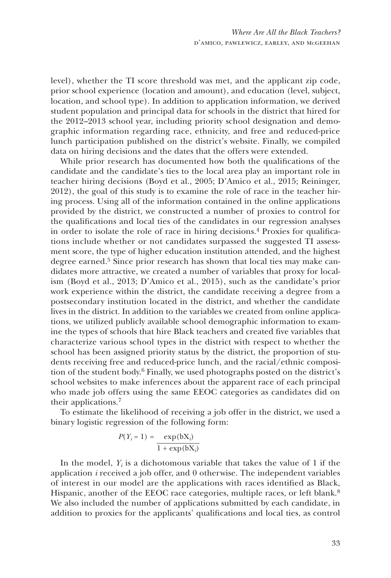level), whether the TI score threshold was met, and the applicant zip code, prior school experience (location and amount), and education (level, subject, location, and school type). In addition to application information, we derived student population and principal data for schools in the district that hired for the 2012–2013 school year, including priority school designation and demographic information regarding race, ethnicity, and free and reduced-price lunch participation published on the district's website. Finally, we compiled data on hiring decisions and the dates that the offers were extended.

While prior research has documented how both the qualifications of the candidate and the candidate's ties to the local area play an important role in teacher hiring decisions (Boyd et al., 2005; D'Amico et al., 2015; Reininger, 2012), the goal of this study is to examine the role of race in the teacher hiring process. Using all of the information contained in the online applications provided by the district, we constructed a number of proxies to control for the qualifications and local ties of the candidates in our regression analyses in order to isolate the role of race in hiring decisions.<sup>4</sup> Proxies for qualifications include whether or not candidates surpassed the suggested TI assessment score, the type of higher education institution attended, and the highest degree earned.<sup>5</sup> Since prior research has shown that local ties may make candidates more attractive, we created a number of variables that proxy for localism (Boyd et al., 2013; D'Amico et al., 2015), such as the candidate's prior work experience within the district, the candidate receiving a degree from a postsecondary institution located in the district, and whether the candidate lives in the district. In addition to the variables we created from online applications, we utilized publicly available school demographic information to examine the types of schools that hire Black teachers and created five variables that characterize various school types in the district with respect to whether the school has been assigned priority status by the district, the proportion of students receiving free and reduced-price lunch, and the racial/ethnic composition of the student body.6 Finally, we used photographs posted on the district's school websites to make inferences about the apparent race of each principal who made job offers using the same EEOC categories as candidates did on their applications.7

To estimate the likelihood of receiving a job offer in the district, we used a binary logistic regression of the following form:

$$
P(Y_i = 1) = \frac{\exp(bX_i)}{1 + \exp(bX_i)}
$$

In the model,  $Y_i$  is a dichotomous variable that takes the value of 1 if the application *i* received a job offer, and 0 otherwise. The independent variables of interest in our model are the applications with races identified as Black, Hispanic, another of the EEOC race categories, multiple races, or left blank.<sup>8</sup> We also included the number of applications submitted by each candidate, in addition to proxies for the applicants' qualifications and local ties, as control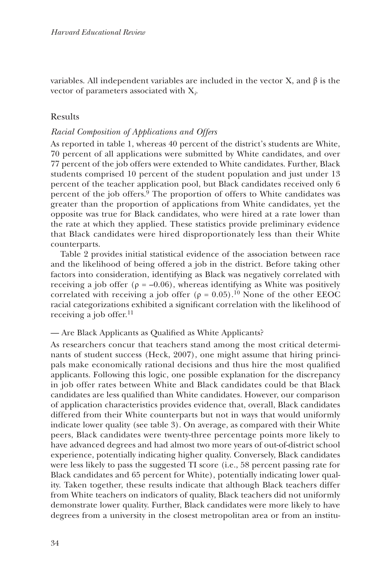variables. All independent variables are included in the vector X, and β is the vector of parameters associated with X*<sup>i</sup>* .

# Results

# *Racial Composition of Applications and Offers*

As reported in table 1, whereas 40 percent of the district's students are White, 70 percent of all applications were submitted by White candidates, and over 77 percent of the job offers were extended to White candidates. Further, Black students comprised 10 percent of the student population and just under 13 percent of the teacher application pool, but Black candidates received only 6 percent of the job offers.<sup>9</sup> The proportion of offers to White candidates was greater than the proportion of applications from White candidates, yet the opposite was true for Black candidates, who were hired at a rate lower than the rate at which they applied. These statistics provide preliminary evidence that Black candidates were hired disproportionately less than their White counterparts.

Table 2 provides initial statistical evidence of the association between race and the likelihood of being offered a job in the district. Before taking other factors into consideration, identifying as Black was negatively correlated with receiving a job offer ( $\rho = -0.06$ ), whereas identifying as White was positively correlated with receiving a job offer ( $\rho = 0.05$ ).<sup>10</sup> None of the other EEOC racial categorizations exhibited a significant correlation with the likelihood of receiving a job offer. $^{11}$ 

#### — Are Black Applicants as Qualified as White Applicants?

As researchers concur that teachers stand among the most critical determinants of student success (Heck, 2007), one might assume that hiring principals make economically rational decisions and thus hire the most qualified applicants. Following this logic, one possible explanation for the discrepancy in job offer rates between White and Black candidates could be that Black candidates are less qualified than White candidates. However, our comparison of application characteristics provides evidence that, overall, Black candidates differed from their White counterparts but not in ways that would uniformly indicate lower quality (see table 3). On average, as compared with their White peers, Black candidates were twenty-three percentage points more likely to have advanced degrees and had almost two more years of out-of-district school experience, potentially indicating higher quality. Conversely, Black candidates were less likely to pass the suggested TI score (i.e., 58 percent passing rate for Black candidates and 65 percent for White), potentially indicating lower quality. Taken together, these results indicate that although Black teachers differ from White teachers on indicators of quality, Black teachers did not uniformly demonstrate lower quality. Further, Black candidates were more likely to have degrees from a university in the closest metropolitan area or from an institu-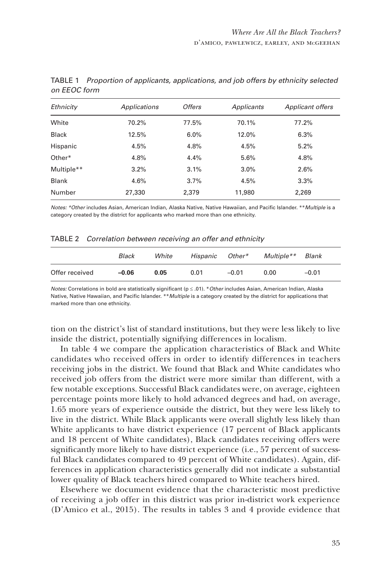| Ethnicity    | Applications | <i>Offers</i> | Applicants | Applicant offers |
|--------------|--------------|---------------|------------|------------------|
| White        | 70.2%        | 77.5%         | 70.1%      | 77.2%            |
| <b>Black</b> | 12.5%        | 6.0%          | 12.0%      | 6.3%             |
| Hispanic     | 4.5%         | 4.8%          | 4.5%       | 5.2%             |
| Other*       | 4.8%         | 4.4%          | 5.6%       | 4.8%             |
| Multiple**   | 3.2%         | 3.1%          | 3.0%       | 2.6%             |
| <b>Blank</b> | 4.6%         | 3.7%          | 4.5%       | 3.3%             |
| Number       | 27,330       | 2,379         | 11,980     | 2,269            |

TABLE 1 *Proportion of applicants, applications, and job offers by ethnicity selected on EEOC form*

*Notes: \*Other* includes Asian, American Indian, Alaska Native, Native Hawaiian, and Pacific Islander. \*\**Multiple* is a category created by the district for applicants who marked more than one ethnicity.

|  | TABLE 2 Correlation between receiving an offer and ethnicity |  |  |  |  |  |
|--|--------------------------------------------------------------|--|--|--|--|--|
|--|--------------------------------------------------------------|--|--|--|--|--|

|                | Black   | White | Hispanic Other* |         | Multiple** | Blank   |
|----------------|---------|-------|-----------------|---------|------------|---------|
| Offer received | $-0.06$ | 0.05  | 0.01            | $-0.01$ | 0.00       | $-0.01$ |

*Notes:* Correlations in bold are statistically significant (p ≤ .01). \**Other* includes Asian, American Indian, Alaska Native, Native Hawaiian, and Pacific Islander. \*\**Multiple* is a category created by the district for applications that marked more than one ethnicity.

tion on the district's list of standard institutions, but they were less likely to live inside the district, potentially signifying differences in localism.

In table 4 we compare the application characteristics of Black and White candidates who received offers in order to identify differences in teachers receiving jobs in the district. We found that Black and White candidates who received job offers from the district were more similar than different, with a few notable exceptions. Successful Black candidates were, on average, eighteen percentage points more likely to hold advanced degrees and had, on average, 1.65 more years of experience outside the district, but they were less likely to live in the district. While Black applicants were overall slightly less likely than White applicants to have district experience (17 percent of Black applicants and 18 percent of White candidates), Black candidates receiving offers were significantly more likely to have district experience (i.e., 57 percent of successful Black candidates compared to 49 percent of White candidates). Again, differences in application characteristics generally did not indicate a substantial lower quality of Black teachers hired compared to White teachers hired.

Elsewhere we document evidence that the characteristic most predictive of receiving a job offer in this district was prior in-district work experience (D'Amico et al., 2015). The results in tables 3 and 4 provide evidence that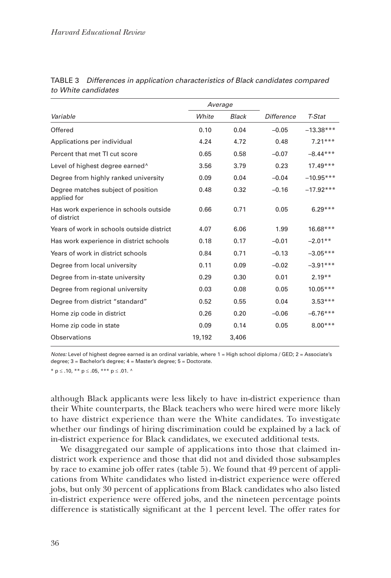|                                                       | Average |              |                   |             |
|-------------------------------------------------------|---------|--------------|-------------------|-------------|
| Variable                                              | White   | <b>Black</b> | <b>Difference</b> | T-Stat      |
| Offered                                               | 0.10    | 0.04         | $-0.05$           | $-13.38***$ |
| Applications per individual                           | 4.24    | 4.72         | 0.48              | $7.21***$   |
| Percent that met TI cut score                         | 0.65    | 0.58         | $-0.07$           | $-8.44***$  |
| Level of highest degree earned <sup>^</sup>           | 3.56    | 3.79         | 0.23              | $17.49***$  |
| Degree from highly ranked university                  | 0.09    | 0.04         | $-0.04$           | $-10.95***$ |
| Degree matches subject of position<br>applied for     | 0.48    | 0.32         | $-0.16$           | $-17.92***$ |
| Has work experience in schools outside<br>of district | 0.66    | 0.71         | 0.05              | $6.29***$   |
| Years of work in schools outside district             | 4.07    | 6.06         | 1.99              | $16.68***$  |
| Has work experience in district schools               | 0.18    | 0.17         | $-0.01$           | $-2.01**$   |
| Years of work in district schools                     | 0.84    | 0.71         | $-0.13$           | $-3.05***$  |
| Degree from local university                          | 0.11    | 0.09         | $-0.02$           | $-3.91***$  |
| Degree from in-state university                       | 0.29    | 0.30         | 0.01              | $2.19**$    |
| Degree from regional university                       | 0.03    | 0.08         | 0.05              | $10.05***$  |
| Degree from district "standard"                       | 0.52    | 0.55         | 0.04              | $3.53***$   |
| Home zip code in district                             | 0.26    | 0.20         | $-0.06$           | $-6.76***$  |
| Home zip code in state                                | 0.09    | 0.14         | 0.05              | $8.00***$   |
| Observations                                          | 19,192  | 3,406        |                   |             |

TABLE 3 *Differences in application characteristics of Black candidates compared to White candidates*

*Notes:* Level of highest degree earned is an ordinal variable, where 1 = High school diploma / GED; 2 = Associate's degree; 3 = Bachelor's degree; 4 = Master's degree; 5 = Doctorate.

 $*$  p  $\leq$  .10,  $**$  p  $\leq$  .05,  $***$  p  $\leq$  .01. ^

although Black applicants were less likely to have in-district experience than their White counterparts, the Black teachers who were hired were more likely to have district experience than were the White candidates. To investigate whether our findings of hiring discrimination could be explained by a lack of in-district experience for Black candidates, we executed additional tests.

We disaggregated our sample of applications into those that claimed indistrict work experience and those that did not and divided those subsamples by race to examine job offer rates (table 5). We found that 49 percent of applications from White candidates who listed in-district experience were offered jobs, but only 30 percent of applications from Black candidates who also listed in-district experience were offered jobs, and the nineteen percentage points difference is statistically significant at the 1 percent level. The offer rates for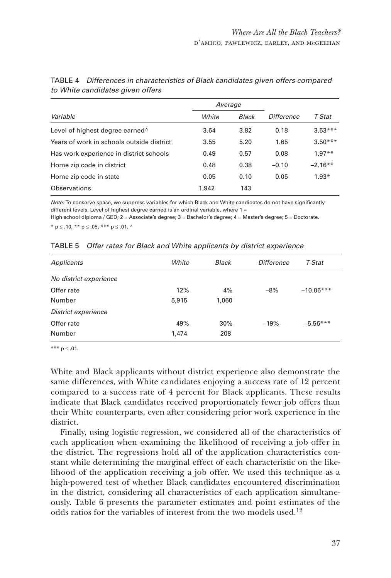|                                             | Average |              |            |           |  |
|---------------------------------------------|---------|--------------|------------|-----------|--|
| Variable                                    | White   | <b>Black</b> | Difference | T-Stat    |  |
| Level of highest degree earned <sup>^</sup> | 3.64    | 3.82         | 0.18       | $3.53***$ |  |
| Years of work in schools outside district   | 3.55    | 5.20         | 1.65       | $3.50***$ |  |
| Has work experience in district schools     | 0.49    | 0.57         | 0.08       | $1.97**$  |  |
| Home zip code in district                   | 0.48    | 0.38         | $-0.10$    | $-2.16**$ |  |
| Home zip code in state                      | 0.05    | 0.10         | 0.05       | $1.93*$   |  |
| Observations                                | 1.942   | 143          |            |           |  |

TABLE 4 *Differences in characteristics of Black candidates given offers compared to White candidates given offers*

*Note:* To conserve space, we suppress variables for which Black and White candidates do not have significantly different levels. Level of highest degree earned is an ordinal variable, where 1 =

High school diploma / GED; 2 = Associate's degree; 3 = Bachelor's degree; 4 = Master's degree; 5 = Doctorate.

\*  $p \le .10$ , \*\*  $p \le .05$ , \*\*\*  $p \le .01$ . ^

| Applicants             | White | <b>Black</b> | Difference | T-Stat      |
|------------------------|-------|--------------|------------|-------------|
| No district experience |       |              |            |             |
| Offer rate             | 12%   | 4%           | $-8%$      | $-10.06***$ |
| Number                 | 5,915 | 1,060        |            |             |
| District experience    |       |              |            |             |
| Offer rate             | 49%   | 30%          | $-19%$     | $-5.56***$  |
| Number                 | 1,474 | 208          |            |             |

TABLE 5 *Offer rates for Black and White applicants by district experience*

\*\*\* p ≤ .01.

White and Black applicants without district experience also demonstrate the same differences, with White candidates enjoying a success rate of 12 percent compared to a success rate of 4 percent for Black applicants. These results indicate that Black candidates received proportionately fewer job offers than their White counterparts, even after considering prior work experience in the district.

Finally, using logistic regression, we considered all of the characteristics of each application when examining the likelihood of receiving a job offer in the district. The regressions hold all of the application characteristics constant while determining the marginal effect of each characteristic on the likelihood of the application receiving a job offer. We used this technique as a high-powered test of whether Black candidates encountered discrimination in the district, considering all characteristics of each application simultaneously. Table 6 presents the parameter estimates and point estimates of the odds ratios for the variables of interest from the two models used.<sup>12</sup>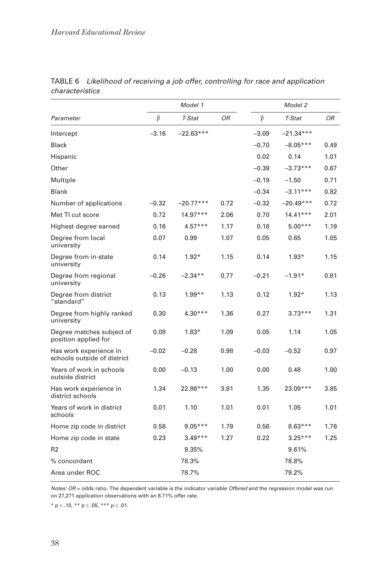|                                                       |         | Model 1     |      |         | Model 2     |      |
|-------------------------------------------------------|---------|-------------|------|---------|-------------|------|
| Parameter                                             | β       | T-Stat      | OR   | $\beta$ | T-Stat      | OR   |
| Intercept                                             | $-3.16$ | $-22.63***$ |      | $-3.09$ | $-21.34***$ |      |
| <b>Black</b>                                          |         |             |      | $-0.70$ | $-8.05***$  | 0.49 |
| Hispanic                                              |         |             |      | 0.02    | 0.14        | 1.01 |
| Other                                                 |         |             |      | $-0.39$ | $-3.73***$  | 0.67 |
| Multiple                                              |         |             |      | $-0.19$ | $-1.50$     | 0.71 |
| <b>Blank</b>                                          |         |             |      | $-0.34$ | $-3.11***$  | 0.82 |
| Number of applications                                | $-0.32$ | $-20.77***$ | 0.72 | $-0.32$ | $-20.49***$ | 0.72 |
| Met TI cut score                                      | 0.72    | $14.97***$  | 2.06 | 0.70    | $14.41***$  | 2.01 |
| Highest degree earned                                 | 0.16    | $4.57***$   | 1.17 | 0.18    | $5.00***$   | 1.19 |
| Degree from local<br>university                       | 0.07    | 0.99        | 1.07 | 0.05    | 0.65        | 1.05 |
| Degree from in-state<br>university                    | 0.14    | $1.92*$     | 1.15 | 0.14    | $1.93*$     | 1.15 |
| Degree from regional<br>university                    | $-0.26$ | $-2.34**$   | 0.77 | $-0.21$ | $-1.91*$    | 0.81 |
| Degree from district<br>"standard"                    | 0.13    | $1.99**$    | 1.13 | 0.12    | $1.92*$     | 1.13 |
| Degree from highly ranked<br>university               | 0.30    | $4.30***$   | 1.36 | 0.27    | $3.73***$   | 1.31 |
| Degree matches subject of<br>position applied for     | 0.08    | $1.83*$     | 1.09 | 0.05    | 1.14        | 1.05 |
| Has work experience in<br>schools outside of district | $-0.02$ | $-0.28$     | 0.98 | $-0.03$ | $-0.52$     | 0.97 |
| Years of work in schools<br>outside district          | 0.00    | $-0.13$     | 1.00 | 0.00    | 0.48        | 1.00 |
| Has work experience in<br>district schools            | 1.34    | 22.86***    | 3.81 | 1.35    | 23.09***    | 3.85 |
| Years of work in district<br>schools                  | 0.01    | 1.10        | 1.01 | 0.01    | 1.05        | 1.01 |
| Home zip code in district                             | 0.58    | $9.05***$   | 1.79 | 0.56    | $8.63***$   | 1.76 |
| Home zip code in state                                | 0.23    | $3.49***$   | 1.27 | 0.22    | $3.25***$   | 1.25 |
| R <sub>2</sub>                                        |         | 9.35%       |      |         | 9.61%       |      |
| % concordant                                          |         | 78.3%       |      |         | 78.8%       |      |
| Area under ROC                                        |         | 78.7%       |      |         | 79.2%       |      |

TABLE 6 *Likelihood of receiving a job offer, controlling for race and application characteristics* 

*Notes: OR* = odds ratio. The dependent variable is the indicator variable *Offered* and the regression model was run on 27,271 application observations with an 8.71% offer rate.

\* p  $\le$  .10, \*\* p  $\le$  .05, \*\*\* p  $\le$  .01.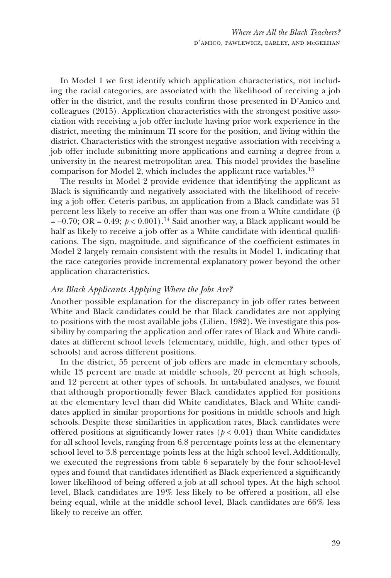In Model 1 we first identify which application characteristics, not including the racial categories, are associated with the likelihood of receiving a job offer in the district, and the results confirm those presented in D'Amico and colleagues (2015). Application characteristics with the strongest positive association with receiving a job offer include having prior work experience in the district, meeting the minimum TI score for the position, and living within the district. Characteristics with the strongest negative association with receiving a job offer include submitting more applications and earning a degree from a university in the nearest metropolitan area. This model provides the baseline comparison for Model 2, which includes the applicant race variables.<sup>13</sup>

The results in Model 2 provide evidence that identifying the applicant as Black is significantly and negatively associated with the likelihood of receiving a job offer. Ceteris paribus, an application from a Black candidate was 51 percent less likely to receive an offer than was one from a White candidate (β  $= -0.70$ ; OR  $= 0.49$ ;  $p < 0.001$ ).<sup>14</sup> Said another way, a Black applicant would be half as likely to receive a job offer as a White candidate with identical qualifications. The sign, magnitude, and significance of the coefficient estimates in Model 2 largely remain consistent with the results in Model 1, indicating that the race categories provide incremental explanatory power beyond the other application characteristics.

#### *Are Black Applicants Applying Where the Jobs Are?*

Another possible explanation for the discrepancy in job offer rates between White and Black candidates could be that Black candidates are not applying to positions with the most available jobs (Lilien, 1982). We investigate this possibility by comparing the application and offer rates of Black and White candidates at different school levels (elementary, middle, high, and other types of schools) and across different positions.

In the district, 55 percent of job offers are made in elementary schools, while 13 percent are made at middle schools, 20 percent at high schools, and 12 percent at other types of schools. In untabulated analyses, we found that although proportionally fewer Black candidates applied for positions at the elementary level than did White candidates, Black and White candidates applied in similar proportions for positions in middle schools and high schools. Despite these similarities in application rates, Black candidates were offered positions at significantly lower rates ( $p < 0.01$ ) than White candidates for all school levels, ranging from 6.8 percentage points less at the elementary school level to 3.8 percentage points less at the high school level. Additionally, we executed the regressions from table 6 separately by the four school-level types and found that candidates identified as Black experienced a significantly lower likelihood of being offered a job at all school types. At the high school level, Black candidates are 19% less likely to be offered a position, all else being equal, while at the middle school level, Black candidates are 66% less likely to receive an offer.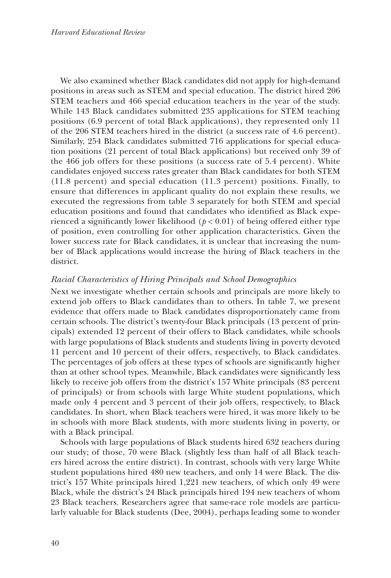We also examined whether Black candidates did not apply for high-demand positions in areas such as STEM and special education. The district hired 206 STEM teachers and 466 special education teachers in the year of the study. While 143 Black candidates submitted 235 applications for STEM teaching positions (6.9 percent of total Black applications), they represented only 11 of the 206 STEM teachers hired in the district (a success rate of 4.6 percent). Similarly, 254 Black candidates submitted 716 applications for special education positions (21 percent of total Black applications) but received only 39 of the 466 job offers for these positions (a success rate of 5.4 percent). White candidates enjoyed success rates greater than Black candidates for both STEM (11.8 percent) and special education (11.3 percent) positions. Finally, to ensure that differences in applicant quality do not explain these results, we executed the regressions from table 3 separately for both STEM and special education positions and found that candidates who identified as Black experienced a significantly lower likelihood ( $p < 0.01$ ) of being offered either type of position, even controlling for other application characteristics. Given the lower success rate for Black candidates, it is unclear that increasing the number of Black applications would increase the hiring of Black teachers in the district.

# *Racial Characteristics of Hiring Principals and School Demographics*

Next we investigate whether certain schools and principals are more likely to extend job offers to Black candidates than to others. In table 7, we present evidence that offers made to Black candidates disproportionately came from certain schools. The district's twenty-four Black principals (13 percent of principals) extended 12 percent of their offers to Black candidates, while schools with large populations of Black students and students living in poverty devoted 11 percent and 10 percent of their offers, respectively, to Black candidates. The percentages of job offers at these types of schools are significantly higher than at other school types. Meanwhile, Black candidates were significantly less likely to receive job offers from the district's 157 White principals (83 percent of principals) or from schools with large White student populations, which made only 4 percent and 3 percent of their job offers, respectively, to Black candidates. In short, when Black teachers were hired, it was more likely to be in schools with more Black students, with more students living in poverty, or with a Black principal.

Schools with large populations of Black students hired 632 teachers during our study; of those, 70 were Black (slightly less than half of all Black teachers hired across the entire district). In contrast, schools with very large White student populations hired 480 new teachers, and only 14 were Black. The district's 157 White principals hired 1,221 new teachers, of which only 49 were Black, while the district's 24 Black principals hired 194 new teachers of whom 23 Black teachers. Researchers agree that same-race role models are particularly valuable for Black students (Dee, 2004), perhaps leading some to wonder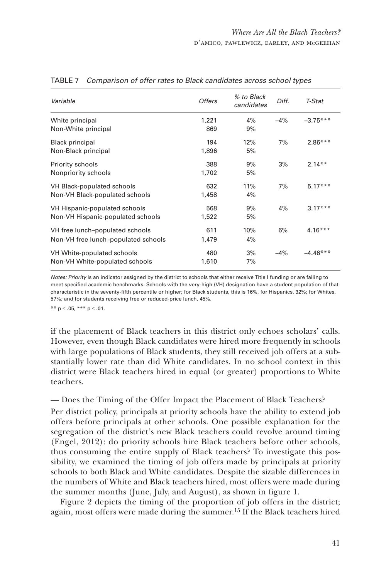| Variable                            | <i>Offers</i> | % to Black<br>candidates | Diff. | T-Stat     |
|-------------------------------------|---------------|--------------------------|-------|------------|
| White principal                     | 1,221         | 4%                       | $-4%$ | $-3.75***$ |
| Non-White principal                 | 869           | 9%                       |       |            |
| <b>Black principal</b>              | 194           | 12%                      | 7%    | $2.86***$  |
| Non-Black principal                 | 1,896         | 5%                       |       |            |
| Priority schools                    | 388           | 9%                       | 3%    | $2.14***$  |
| Nonpriority schools                 | 1,702         | 5%                       |       |            |
| VH Black-populated schools          | 632           | 11%                      | 7%    | $5.17***$  |
| Non-VH Black-populated schools      | 1,458         | 4%                       |       |            |
| VH Hispanic-populated schools       | 568           | 9%                       | 4%    | $3.17***$  |
| Non-VH Hispanic-populated schools   | 1,522         | 5%                       |       |            |
| VH free lunch-populated schools     | 611           | 10%                      | 6%    | $4.16***$  |
| Non-VH free lunch-populated schools | 1,479         | 4%                       |       |            |
| VH White-populated schools          | 480           | 3%                       | $-4%$ | $-4.46***$ |
| Non-VH White-populated schools      | 1,610         | 7%                       |       |            |

TABLE 7 *Comparison of offer rates to Black candidates across school types*

*Notes: Priority* is an indicator assigned by the district to schools that either receive Title I funding or are failing to meet specified academic benchmarks. Schools with the very-high (VH) designation have a student population of that characteristic in the seventy-fifth percentile or higher; for Black students, this is 16%, for Hispanics, 32%; for Whites, 57%; and for students receiving free or reduced-price lunch, 45%.

\*\*  $p \le .05$ , \*\*\*  $p \le .01$ .

if the placement of Black teachers in this district only echoes scholars' calls. However, even though Black candidates were hired more frequently in schools with large populations of Black students, they still received job offers at a substantially lower rate than did White candidates. In no school context in this district were Black teachers hired in equal (or greater) proportions to White teachers.

— Does the Timing of the Offer Impact the Placement of Black Teachers?

Per district policy, principals at priority schools have the ability to extend job offers before principals at other schools. One possible explanation for the segregation of the district's new Black teachers could revolve around timing (Engel, 2012): do priority schools hire Black teachers before other schools, thus consuming the entire supply of Black teachers? To investigate this possibility, we examined the timing of job offers made by principals at priority schools to both Black and White candidates. Despite the sizable differences in the numbers of White and Black teachers hired, most offers were made during the summer months (June, July, and August), as shown in figure 1.

Figure 2 depicts the timing of the proportion of job offers in the district; again, most offers were made during the summer.<sup>15</sup> If the Black teachers hired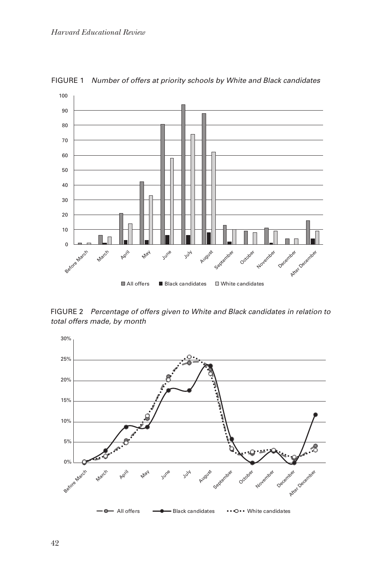

FIGURE 1 *Number of offers at priority schools by White and Black candidates*

FIGURE 2 Percentage of offers given to White and Black candidates in relation to *total offers made, by month*  $\overline{a}$ 

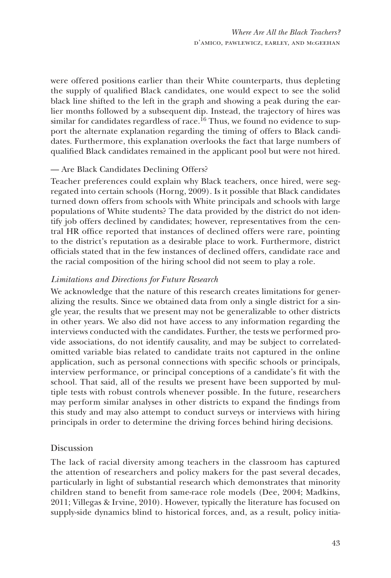were offered positions earlier than their White counterparts, thus depleting the supply of qualified Black candidates, one would expect to see the solid black line shifted to the left in the graph and showing a peak during the earlier months followed by a subsequent dip. Instead, the trajectory of hires was similar for candidates regardless of race.<sup>16</sup> Thus, we found no evidence to support the alternate explanation regarding the timing of offers to Black candidates. Furthermore, this explanation overlooks the fact that large numbers of qualified Black candidates remained in the applicant pool but were not hired.

#### — Are Black Candidates Declining Offers?

Teacher preferences could explain why Black teachers, once hired, were segregated into certain schools (Horng, 2009). Is it possible that Black candidates turned down offers from schools with White principals and schools with large populations of White students? The data provided by the district do not identify job offers declined by candidates; however, representatives from the central HR office reported that instances of declined offers were rare, pointing to the district's reputation as a desirable place to work. Furthermore, district officials stated that in the few instances of declined offers, candidate race and the racial composition of the hiring school did not seem to play a role.

# *Limitations and Directions for Future Research*

We acknowledge that the nature of this research creates limitations for generalizing the results. Since we obtained data from only a single district for a single year, the results that we present may not be generalizable to other districts in other years. We also did not have access to any information regarding the interviews conducted with the candidates. Further, the tests we performed provide associations, do not identify causality, and may be subject to correlatedomitted variable bias related to candidate traits not captured in the online application, such as personal connections with specific schools or principals, interview performance, or principal conceptions of a candidate's fit with the school. That said, all of the results we present have been supported by multiple tests with robust controls whenever possible. In the future, researchers may perform similar analyses in other districts to expand the findings from this study and may also attempt to conduct surveys or interviews with hiring principals in order to determine the driving forces behind hiring decisions.

# Discussion

The lack of racial diversity among teachers in the classroom has captured the attention of researchers and policy makers for the past several decades, particularly in light of substantial research which demonstrates that minority children stand to benefit from same-race role models (Dee, 2004; Madkins, 2011; Villegas & Irvine, 2010). However, typically the literature has focused on supply-side dynamics blind to historical forces, and, as a result, policy initia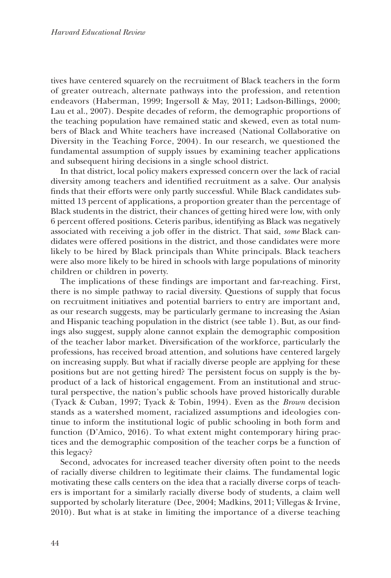tives have centered squarely on the recruitment of Black teachers in the form of greater outreach, alternate pathways into the profession, and retention endeavors (Haberman, 1999; Ingersoll & May, 2011; Ladson-Billings, 2000; Lau et al., 2007). Despite decades of reform, the demographic proportions of the teaching population have remained static and skewed, even as total numbers of Black and White teachers have increased (National Collaborative on Diversity in the Teaching Force, 2004). In our research, we questioned the fundamental assumption of supply issues by examining teacher applications and subsequent hiring decisions in a single school district.

In that district, local policy makers expressed concern over the lack of racial diversity among teachers and identified recruitment as a salve. Our analysis finds that their efforts were only partly successful. While Black candidates submitted 13 percent of applications, a proportion greater than the percentage of Black students in the district, their chances of getting hired were low, with only 6 percent offered positions. Ceteris paribus, identifying as Black was negatively associated with receiving a job offer in the district. That said, *some* Black candidates were offered positions in the district, and those candidates were more likely to be hired by Black principals than White principals. Black teachers were also more likely to be hired in schools with large populations of minority children or children in poverty.

The implications of these findings are important and far-reaching. First, there is no simple pathway to racial diversity. Questions of supply that focus on recruitment initiatives and potential barriers to entry are important and, as our research suggests, may be particularly germane to increasing the Asian and Hispanic teaching population in the district (see table 1). But, as our findings also suggest, supply alone cannot explain the demographic composition of the teacher labor market. Diversification of the workforce, particularly the professions, has received broad attention, and solutions have centered largely on increasing supply. But what if racially diverse people are applying for these positions but are not getting hired? The persistent focus on supply is the byproduct of a lack of historical engagement. From an institutional and structural perspective, the nation's public schools have proved historically durable (Tyack & Cuban, 1997; Tyack & Tobin, 1994). Even as the *Brown* decision stands as a watershed moment, racialized assumptions and ideologies continue to inform the institutional logic of public schooling in both form and function (D'Amico, 2016). To what extent might contemporary hiring practices and the demographic composition of the teacher corps be a function of this legacy?

Second, advocates for increased teacher diversity often point to the needs of racially diverse children to legitimate their claims. The fundamental logic motivating these calls centers on the idea that a racially diverse corps of teachers is important for a similarly racially diverse body of students, a claim well supported by scholarly literature (Dee, 2004; Madkins, 2011; Villegas & Irvine, 2010). But what is at stake in limiting the importance of a diverse teaching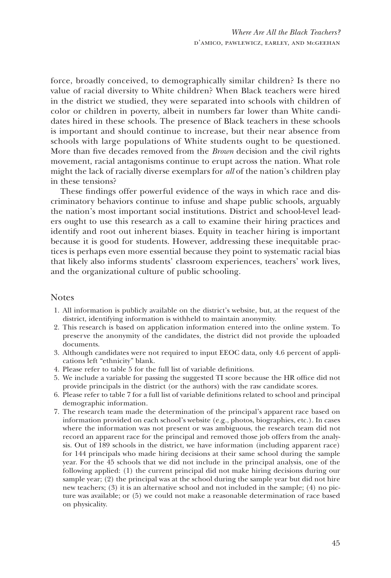force, broadly conceived, to demographically similar children? Is there no value of racial diversity to White children? When Black teachers were hired in the district we studied, they were separated into schools with children of color or children in poverty, albeit in numbers far lower than White candidates hired in these schools. The presence of Black teachers in these schools is important and should continue to increase, but their near absence from schools with large populations of White students ought to be questioned. More than five decades removed from the *Brown* decision and the civil rights movement, racial antagonisms continue to erupt across the nation. What role might the lack of racially diverse exemplars for *all* of the nation's children play in these tensions?

These findings offer powerful evidence of the ways in which race and discriminatory behaviors continue to infuse and shape public schools, arguably the nation's most important social institutions. District and school-level leaders ought to use this research as a call to examine their hiring practices and identify and root out inherent biases. Equity in teacher hiring is important because it is good for students. However, addressing these inequitable practices is perhaps even more essential because they point to systematic racial bias that likely also informs students' classroom experiences, teachers' work lives, and the organizational culture of public schooling.

#### **Notes**

- 1. All information is publicly available on the district's website, but, at the request of the district, identifying information is withheld to maintain anonymity.
- 2. This research is based on application information entered into the online system. To preserve the anonymity of the candidates, the district did not provide the uploaded documents.
- 3. Although candidates were not required to input EEOC data, only 4.6 percent of applications left "ethnicity" blank.
- 4. Please refer to table 5 for the full list of variable definitions.
- 5. We include a variable for passing the suggested TI score because the HR office did not provide principals in the district (or the authors) with the raw candidate scores.
- 6. Please refer to table 7 for a full list of variable definitions related to school and principal demographic information.
- 7. The research team made the determination of the principal's apparent race based on information provided on each school's website (e.g., photos, biographies, etc.). In cases where the information was not present or was ambiguous, the research team did not record an apparent race for the principal and removed those job offers from the analysis. Out of 189 schools in the district, we have information (including apparent race) for 144 principals who made hiring decisions at their same school during the sample year. For the 45 schools that we did not include in the principal analysis, one of the following applied: (1) the current principal did not make hiring decisions during our sample year; (2) the principal was at the school during the sample year but did not hire new teachers; (3) it is an alternative school and not included in the sample; (4) no picture was available; or (5) we could not make a reasonable determination of race based on physicality.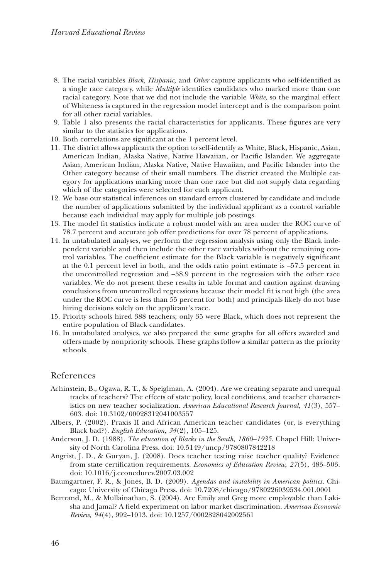- 8. The racial variables *Black, Hispanic,* and *Other* capture applicants who self-identified as a single race category, while *Multiple* identifies candidates who marked more than one racial category. Note that we did not include the variable *White,* so the marginal effect of Whiteness is captured in the regression model intercept and is the comparison point for all other racial variables.
- 9. Table 1 also presents the racial characteristics for applicants. These figures are very similar to the statistics for applications.
- 10. Both correlations are significant at the 1 percent level.
- 11. The district allows applicants the option to self-identify as White, Black, Hispanic, Asian, American Indian, Alaska Native, Native Hawaiian, or Pacific Islander. We aggregate Asian, American Indian, Alaska Native, Native Hawaiian, and Pacific Islander into the Other category because of their small numbers. The district created the Multiple category for applications marking more than one race but did not supply data regarding which of the categories were selected for each applicant.
- 12. We base our statistical inferences on standard errors clustered by candidate and include the number of applications submitted by the individual applicant as a control variable because each individual may apply for multiple job postings.
- 13. The model fit statistics indicate a robust model with an area under the ROC curve of 78.7 percent and accurate job offer predictions for over 78 percent of applications.
- 14. In untabulated analyses, we perform the regression analysis using only the Black independent variable and then include the other race variables without the remaining control variables. The coefficient estimate for the Black variable is negatively significant at the 0.1 percent level in both, and the odds ratio point estimate is –57.5 percent in the uncontrolled regression and –58.9 percent in the regression with the other race variables. We do not present these results in table format and caution against drawing conclusions from uncontrolled regressions because their model fit is not high (the area under the ROC curve is less than 55 percent for both) and principals likely do not base hiring decisions solely on the applicant's race.
- 15. Priority schools hired 388 teachers; only 35 were Black, which does not represent the entire population of Black candidates.
- 16. In untabulated analyses, we also prepared the same graphs for all offers awarded and offers made by nonpriority schools. These graphs follow a similar pattern as the priority schools.

# References

- Achinstein, B., Ogawa, R. T., & Speiglman, A. (2004). Are we creating separate and unequal tracks of teachers? The effects of state policy, local conditions, and teacher characteristics on new teacher socialization. *American Educational Research Journal, 41*(3), 557– 603. doi: 10.3102/00028312041003557
- Albers, P. (2002). Praxis II and African American teacher candidates (or, is everything Black bad?). *English Education, 34*(2), 105–125.
- Anderson, J. D. (1988). *The education of Blacks in the South, 1860–1935*. Chapel Hill: University of North Carolina Press. doi: 10.5149/uncp/9780807842218
- Angrist, J. D., & Guryan, J. (2008). Does teacher testing raise teacher quality? Evidence from state certification requirements. *Economics of Education Review, 27*(5), 483–503. doi: 10.1016/j.econedurev.2007.03.002
- Baumgartner, F. R., & Jones, B. D. (2009). *Agendas and instability in American politics*. Chicago: University of Chicago Press. doi: 10.7208/chicago/9780226039534.001.0001
- Bertrand, M., & Mullainathan, S. (2004). Are Emily and Greg more employable than Lakisha and Jamal? A field experiment on labor market discrimination. *American Economic Review, 94*(4), 992–1013. doi: 10.1257/0002828042002561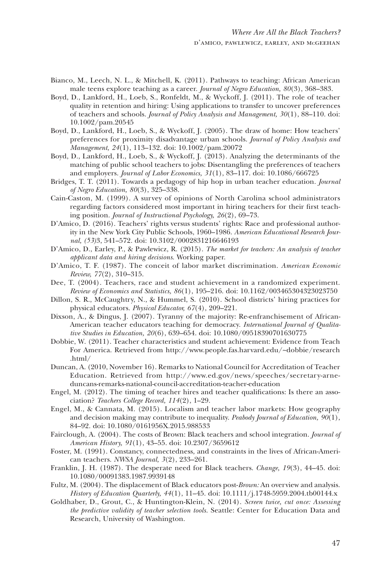- Bianco, M., Leech, N. L., & Mitchell, K. (2011). Pathways to teaching: African American male teens explore teaching as a career. *Journal of Negro Education, 80*(3), 368–383.
- Boyd, D., Lankford, H., Loeb, S., Ronfeldt, M., & Wyckoff, J. (2011). The role of teacher quality in retention and hiring: Using applications to transfer to uncover preferences of teachers and schools. *Journal of Policy Analysis and Management, 30*(1), 88–110. doi: 10.1002/pam.20545
- Boyd, D., Lankford, H., Loeb, S., & Wyckoff, J. (2005). The draw of home: How teachers' preferences for proximity disadvantage urban schools. *Journal of Policy Analysis and Management, 24*(1), 113–132. doi: 10.1002/pam.20072
- Boyd, D., Lankford, H., Loeb, S., & Wyckoff, J. (2013). Analyzing the determinants of the matching of public school teachers to jobs: Disentangling the preferences of teachers and employers. *Journal of Labor Economics, 31*(1), 83–117. doi: 10.1086/666725
- Bridges, T. T. (2011). Towards a pedagogy of hip hop in urban teacher education. *Journal of Negro Education, 80*(3), 325–338.
- Cain-Caston, M. (1999). A survey of opinions of North Carolina school administrators regarding factors considered most important in hiring teachers for their first teaching position. *Journal of Instructional Psychology, 26*(2), 69–73.
- D'Amico, D. (2016). Teachers' rights versus students' rights: Race and professional authority in the New York City Public Schools, 1960–1986. *American Educational Research Journal, (53)*3, 541–572. doi: 10.3102/0002831216646193
- D'Amico, D., Earley, P., & Pawlewicz, R. (2015). *The market for teachers: An analysis of teacher applicant data and hiring decisions*. Working paper.
- D'Amico, T. F. (1987). The conceit of labor market discrimination. *American Economic Review, 77*(2), 310–315.
- Dee, T. (2004). Teachers, race and student achievement in a randomized experiment. *Review of Economics and Statistics, 86*(1), 195–216. doi: 10.1162/003465304323023750
- Dillon, S. R., McCaughtry, N., & Hummel, S. (2010). School districts' hiring practices for physical educators. *Physical Educator, 67*(4), 209–221.
- Dixson, A., & Dingus, J. (2007). Tyranny of the majority: Re-enfranchisement of African-American teacher educators teaching for democracy. *International Journal of Qualitative Studies in Education, 20*(6), 639–654. doi: 10.1080/09518390701630775
- Dobbie, W. (2011). Teacher characteristics and student achievement: Evidence from Teach For America. Retrieved from http://www.people.fas.harvard.edu/~dobbie/research .html/
- Duncan, A. (2010, November 16). Remarks to National Council for Accreditation of Teacher Education. Retrieved from http://www.ed.gov/news/speeches/secretary-arneduncans-remarks-national-council-accreditation-teacher-education
- Engel, M. (2012). The timing of teacher hires and teacher qualifications: Is there an association? *Teachers College Record, 114*(2), 1–29.
- Engel, M., & Cannata, M. (2015). Localism and teacher labor markets: How geography and decision making may contribute to inequality. *Peabody Journal of Education, 90*(1), 84–92. doi: 10.1080/0161956X.2015.988533
- Fairclough, A. (2004). The costs of Brown: Black teachers and school integration. *Journal of American History, 91*(1), 43–55. doi: 10.2307/3659612
- Foster, M. (1991). Constancy, connectedness, and constraints in the lives of African-American teachers. *NWSA Journal, 3*(2), 233–261.
- Franklin, J. H. (1987). The desperate need for Black teachers. *Change, 19*(3), 44–45. doi: 10.1080/00091383.1987.9939148
- Fultz, M. (2004). The displacement of Black educators post-*Brown:* An overview and analysis. *History of Education Quarterly, 44*(1), 11–45. doi: 10.1111/j.1748-5959.2004.tb00144.x
- Goldhaber, D., Grout, C., & Huntington-Klein, N. (2014). *Screen twice, cut once: Assessing the predictive validity of teacher selection tools*. Seattle: Center for Education Data and Research, University of Washington.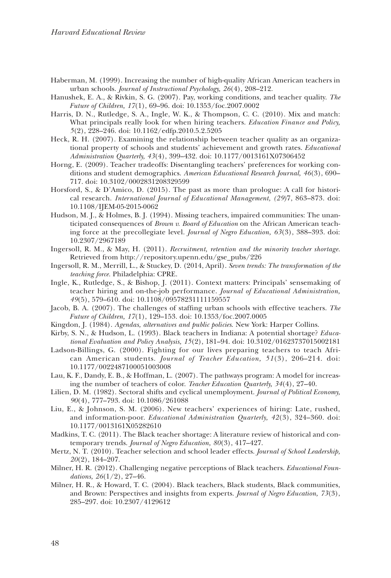- Haberman, M. (1999). Increasing the number of high-quality African American teachers in urban schools. *Journal of Instructional Psychology, 26*(4), 208–212.
- Hanushek, E. A., & Rivkin, S. G. (2007). Pay, working conditions, and teacher quality. *The Future of Children, 17*(1), 69–96. doi: 10.1353/foc.2007.0002
- Harris, D. N., Rutledge, S. A., Ingle, W. K., & Thompson, C. C. (2010). Mix and match: What principals really look for when hiring teachers. *Education Finance and Policy, 5*(2), 228–246. doi: 10.1162/edfp.2010.5.2.5205
- Heck, R. H. (2007). Examining the relationship between teacher quality as an organizational property of schools and students' achievement and growth rates. *Educational Administration Quarterly, 43*(4), 399–432. doi: 10.1177/0013161X07306452
- Horng, E. (2009). Teacher tradeoffs: Disentangling teachers' preferences for working conditions and student demographics. *American Educational Research Journal, 46*(3), 690– 717. doi: 10.3102/0002831208329599
- Horsford, S., & D'Amico, D. (2015). The past as more than prologue: A call for historical research. *International Journal of Educational Management, (29)*7, 863–873. doi: 10.1108/IJEM-05-2015-0062
- Hudson, M. J., & Holmes, B. J. (1994). Missing teachers, impaired communities: The unanticipated consequences of *Brown v. Board of Education* on the African American teaching force at the precollegiate level. *Journal of Negro Education, 63*(3), 388–393. doi: 10.2307/2967189
- Ingersoll, R. M., & May, H. (2011). *Recruitment, retention and the minority teacher shortage.* Retrieved from http://repository.upenn.edu/gse\_pubs/226
- Ingersoll, R. M., Merrill, L., & Stuckey, D. (2014, April). *Seven trends: The transformation of the teaching force.* Philadelphia: CPRE.
- Ingle, K., Rutledge, S., & Bishop, J. (2011). Context matters: Principals' sensemaking of teacher hiring and on-the-job performance. *Journal of Educational Administration, 49*(5), 579–610. doi: 10.1108/09578231111159557
- Jacob, B. A. (2007). The challenges of staffing urban schools with effective teachers. *The Future of Children, 17*(1), 129–153. doi: 10.1353/foc.2007.0005
- Kingdon, J. (1984). *Agendas, alternatives and public policies*. New York: Harper Collins.
- Kirby, S. N., & Hudson, L. (1993). Black teachers in Indiana: A potential shortage? *Educational Evaluation and Policy Analysis, 15*(2), 181–94. doi: 10.3102/01623737015002181
- Ladson-Billings, G. (2000). Fighting for our lives preparing teachers to teach African American students. *Journal of Teacher Education, 51*(3), 206–214. doi: 10.1177/0022487100051003008
- Lau, K. F., Dandy, E. B., & Hoffman, L. (2007). The pathways program: A model for increasing the number of teachers of color. *Teacher Education Quarterly, 34*(4), 27–40.
- Lilien, D. M. (1982). Sectoral shifts and cyclical unemployment. *Journal of Political Economy, 90*(4), 777–793. doi: 10.1086/261088
- Liu, E., & Johnson, S. M. (2006). New teachers' experiences of hiring: Late, rushed, and information-poor. *Educational Administration Quarterly, 42*(3), 324–360. doi: 10.1177/0013161X05282610
- Madkins, T. C. (2011). The Black teacher shortage: A literature review of historical and contemporary trends. *Journal of Negro Education, 80*(3), 417–427.
- Mertz, N. T. (2010). Teacher selection and school leader effects. *Journal of School Leadership, 20*(2), 184–207.
- Milner, H. R. (2012). Challenging negative perceptions of Black teachers. *Educational Foundations, 26*(1/2), 27–46.
- Milner, H. R., & Howard, T. C. (2004). Black teachers, Black students, Black communities, and Brown: Perspectives and insights from experts. *Journal of Negro Education, 73*(3), 285–297. doi: 10.2307/4129612